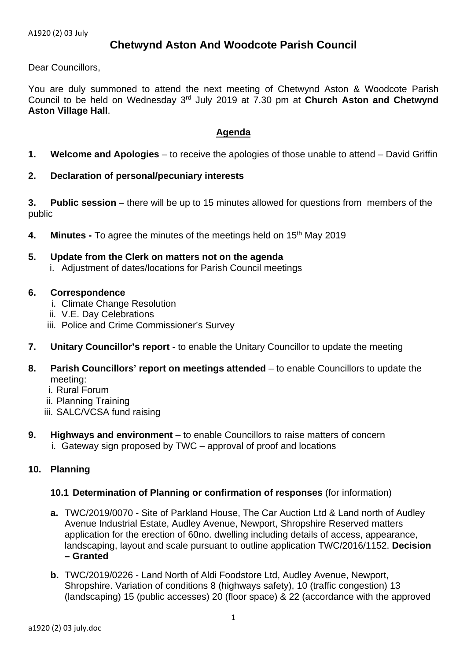# **Chetwynd Aston And Woodcote Parish Council**

Dear Councillors,

You are duly summoned to attend the next meeting of Chetwynd Aston & Woodcote Parish Council to be held on Wednesday 3rd July 2019 at 7.30 pm at **Church Aston and Chetwynd Aston Village Hall**.

# **Agenda**

- **1. Welcome and Apologies** to receive the apologies of those unable to attend David Griffin
- **2. Declaration of personal/pecuniary interests**

**3. Public session –** there will be up to 15 minutes allowed for questions from members of the public

- **4.** Minutes To agree the minutes of the meetings held on 15<sup>th</sup> May 2019
- **5. Update from the Clerk on matters not on the agenda**  i. Adjustment of dates/locations for Parish Council meetings
- **6. Correspondence** 
	- i. Climate Change Resolution
	- ii. V.E. Day Celebrations
	- iii. Police and Crime Commissioner's Survey
- **7. Unitary Councillor's report** to enable the Unitary Councillor to update the meeting
- **8. Parish Councillors' report on meetings attended** to enable Councillors to update the meeting:
	- i. Rural Forum
	- ii. Planning Training
	- iii. SALC/VCSA fund raising
- **9. Highways and environment** to enable Councillors to raise matters of concern
	- i. Gateway sign proposed by TWC approval of proof and locations

# **10. Planning**

# **10.1 Determination of Planning or confirmation of responses** (for information)

- **a.** TWC/2019/0070 Site of Parkland House, The Car Auction Ltd & Land north of Audley Avenue Industrial Estate, Audley Avenue, Newport, Shropshire Reserved matters application for the erection of 60no. dwelling including details of access, appearance, landscaping, layout and scale pursuant to outline application TWC/2016/1152. **Decision – Granted**
- **b.** TWC/2019/0226 Land North of Aldi Foodstore Ltd, Audley Avenue, Newport, Shropshire. Variation of conditions 8 (highways safety), 10 (traffic congestion) 13 (landscaping) 15 (public accesses) 20 (floor space) & 22 (accordance with the approved